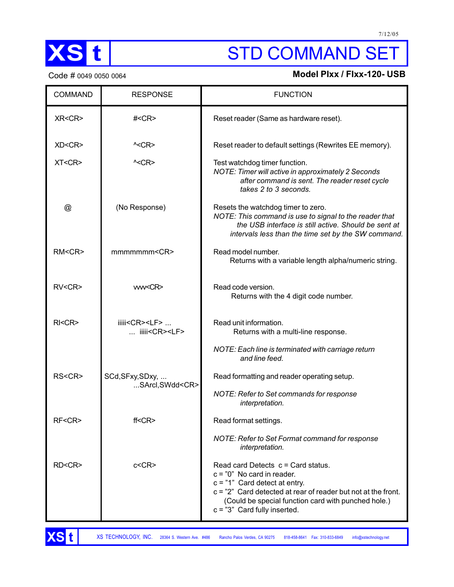

# XS t STD COMMAND SET

## Code # 0049 0050 0064 **Model PIxx / FIxx-120- USB**

| <b>COMMAND</b> | <b>RESPONSE</b>                                        | <b>FUNCTION</b>                                                                                                                                                                                                                                                   |
|----------------|--------------------------------------------------------|-------------------------------------------------------------------------------------------------------------------------------------------------------------------------------------------------------------------------------------------------------------------|
| XR <cr></cr>   | $\#<$ CR $>$                                           | Reset reader (Same as hardware reset).                                                                                                                                                                                                                            |
| XD <cr></cr>   | $\textdegree$                                          | Reset reader to default settings (Rewrites EE memory).                                                                                                                                                                                                            |
| XT < CR        | $\textdegree$ < CR >                                   | Test watchdog timer function.<br>NOTE: Timer will active in approximately 2 Seconds<br>after command is sent. The reader reset cycle<br>takes 2 to 3 seconds.                                                                                                     |
| @              | (No Response)                                          | Resets the watchdog timer to zero.<br>NOTE: This command is use to signal to the reader that<br>the USB interface is still active. Should be sent at<br>intervals less than the time set by the SW command.                                                       |
| RM < CR        | mmmmmmm < CR >                                         | Read model number.<br>Returns with a variable length alpha/numeric string.                                                                                                                                                                                        |
| RV < CR        | ww <cr></cr>                                           | Read code version.<br>Returns with the 4 digit code number.                                                                                                                                                                                                       |
| $R$ $K$        | iiiii <cr><lf> <br/> iiiii<cr><lf></lf></cr></lf></cr> | Read unit information.<br>Returns with a multi-line response.                                                                                                                                                                                                     |
|                |                                                        | NOTE: Each line is terminated with carriage return<br>and line feed.                                                                                                                                                                                              |
| RS <cr></cr>   | SCd, SFxy, SDxy,<br>SArcl,SWdd <cr></cr>               | Read formatting and reader operating setup.                                                                                                                                                                                                                       |
|                |                                                        | NOTE: Refer to Set commands for response<br>interpretation.                                                                                                                                                                                                       |
| RF <cr></cr>   | ff < CR                                                | Read format settings.                                                                                                                                                                                                                                             |
|                |                                                        | NOTE: Refer to Set Format command for response<br>interpretation.                                                                                                                                                                                                 |
| RD <cr></cr>   | c < CR                                                 | Read card Detects $c =$ Card status.<br>$c = "0"$ No card in reader.<br>$c = "1"$ Card detect at entry.<br>c = "2" Card detected at rear of reader but not at the front.<br>(Could be special function card with punched hole.)<br>$c = "3"$ Card fully inserted. |

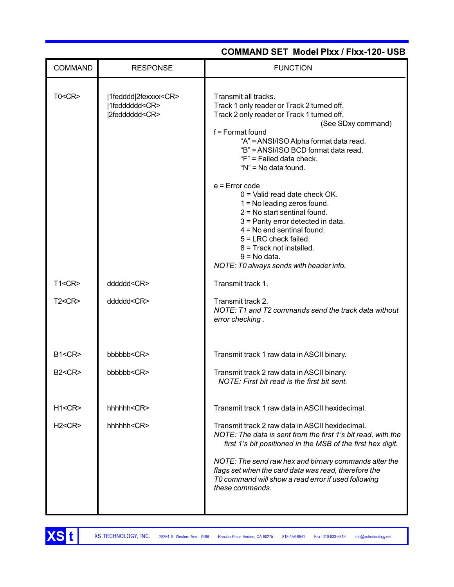|                |                                                                           | <b>COMMAND SET Model Plxx / Flxx-120- USB</b>                                                                                                                                                                                                                                                                                                                                              |
|----------------|---------------------------------------------------------------------------|--------------------------------------------------------------------------------------------------------------------------------------------------------------------------------------------------------------------------------------------------------------------------------------------------------------------------------------------------------------------------------------------|
| <b>COMMAND</b> | <b>RESPONSE</b>                                                           | <b>FUNCTION</b>                                                                                                                                                                                                                                                                                                                                                                            |
| TO < CR        | 1fedddd 2fexxxx <cr><br/> 1fedddddd<cr><br/> 2fedddddd<cr></cr></cr></cr> | Transmit all tracks.<br>Track 1 only reader or Track 2 turned off.<br>Track 2 only reader or Track 1 turned off.<br>(See SDxy command)<br>$f =$ Format found<br>"A" = ANSI/ISO Alpha format data read.<br>"B" = ANSI/ISO BCD format data read.<br>"F" = Failed data check.<br>"N" = No data found.<br>$e$ = Error code<br>$0 =$ Valid read date check OK.<br>$1 = No$ leading zeros found. |
|                |                                                                           | $2 = No$ start sentinal found.<br>3 = Parity error detected in data.<br>$4 = No$ end sentinal found.<br>5 = LRC check failed.<br>8 = Track not installed.<br>$9 = No data.$<br>NOTE: T0 always sends with header info.                                                                                                                                                                     |
| T1 < CR        | ddddd <cr></cr>                                                           | Transmit track 1.                                                                                                                                                                                                                                                                                                                                                                          |
| T2 < CR        | ddddd <cr></cr>                                                           | Transmit track 2.<br>NOTE: T1 and T2 commands send the track data without<br>error checking.                                                                                                                                                                                                                                                                                               |
| B1 < CR        | bbbbbb <cr></cr>                                                          | Transmit track 1 raw data in ASCII binary.                                                                                                                                                                                                                                                                                                                                                 |
| B2 < CR        | bbbbbb < CR>                                                              | Transmit track 2 raw data in ASCII binary.<br>NOTE: First bit read is the first bit sent.                                                                                                                                                                                                                                                                                                  |
| H1 < CR        | hhhhhk <cr></cr>                                                          | Transmit track 1 raw data in ASCII hexidecimal.                                                                                                                                                                                                                                                                                                                                            |
| H2 < CR        | hhhhh <cr></cr>                                                           | Transmit track 2 raw data in ASCII hexidecimal.<br>NOTE: The data is sent from the first 1's bit read, with the<br>first 1's bit positioned in the MSB of the first hex digit.<br>NOTE: The send raw hex and birnary commands alter the<br>flags set when the card data was read, therefore the<br>TO command will show a read error if used following<br>these commands.                  |

#### XS TECHNOLOGY, INC. 28364 S. Western Ave. #486 Rancho Palos Verdes, CA 90275 818-458-8641 Fax: 310-833-6849 info@xstechnology.net

**XSt**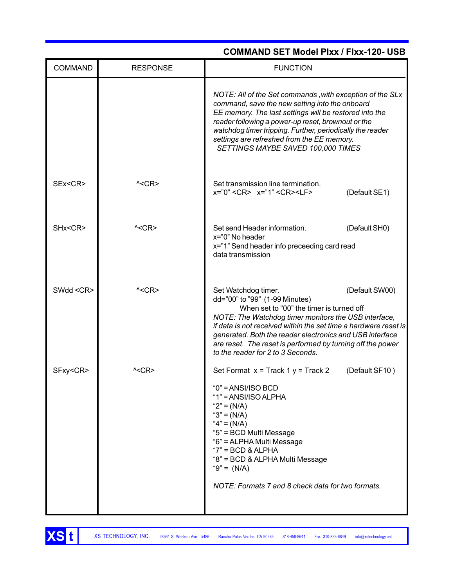| <b>COMMAND</b> | <b>RESPONSE</b>    | <b>FUNCTION</b>                                                                                                                                                                                                                                                                                                                                                                                               |
|----------------|--------------------|---------------------------------------------------------------------------------------------------------------------------------------------------------------------------------------------------------------------------------------------------------------------------------------------------------------------------------------------------------------------------------------------------------------|
|                |                    | NOTE: All of the Set commands, with exception of the SLx<br>command, save the new setting into the onboard<br>EE memory. The last settings will be restored into the<br>reader following a power-up reset, brownout or the<br>watchdog timer tripping. Further, periodically the reader<br>settings are refreshed from the EE memory.<br>SETTINGS MAYBE SAVED 100,000 TIMES                                   |
| SEx <cr></cr>  | $^{\wedge}$ < CR > | Set transmission line termination.<br>x="0" <cr> x="1" <cr><lf><br/>(Default SE1)</lf></cr></cr>                                                                                                                                                                                                                                                                                                              |
| SHx <cr></cr>  | $\textdegree$      | Set send Header information.<br>(Default SH0)<br>x="0" No header<br>x="1" Send header info preceeding card read<br>data transmission                                                                                                                                                                                                                                                                          |
| SWdd <cr></cr> | $^{\wedge}$ < CR > | Set Watchdog timer.<br>(Default SW00)<br>dd="00" to "99" (1-99 Minutes)<br>When set to "00" the timer is turned off<br>NOTE: The Watchdog timer monitors the USB interface,<br>if data is not received within the set time a hardware reset is<br>generated. Both the reader electronics and USB interface<br>are reset. The reset is performed by turning off the power<br>to the reader for 2 to 3 Seconds. |
| SFxy <cr></cr> | ^ <cr></cr>        | Set Format $x =$ Track 1 $y =$ Track 2<br>(Default SF10)<br>$"0" = ANSI/ISO BCD$<br>"1" = $ANSI/ISO ALPHA$<br>" $2" = (N/A)$<br>" $3" = (N/A)$<br>" $4" = (N/A)$<br>"5" = BCD Multi Message<br>"6" = ALPHA Multi Message<br>" $7" = BCD$ & ALPHA<br>"8" = BCD & ALPHA Multi Message<br>" $9" = (N/A)$<br>NOTE: Formats 7 and 8 check data for two formats.                                                    |

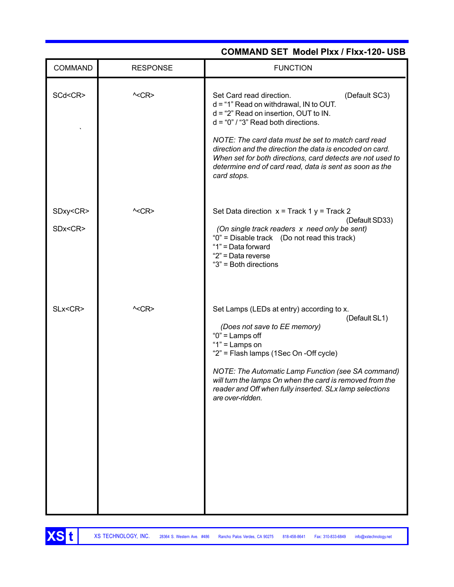| <b>COMMAND</b>                  | <b>RESPONSE</b> | <b>FUNCTION</b>                                                                                                                                                                                                                                                                                                                                                                                                                     |
|---------------------------------|-----------------|-------------------------------------------------------------------------------------------------------------------------------------------------------------------------------------------------------------------------------------------------------------------------------------------------------------------------------------------------------------------------------------------------------------------------------------|
| SCd <cr></cr>                   | $\textdegree$   | (Default SC3)<br>Set Card read direction.<br>$d = "1"$ Read on withdrawal, IN to OUT.<br>$d = 2$ " Read on insertion, OUT to IN.<br>$d = "0" / "3"$ Read both directions.<br>NOTE: The card data must be set to match card read<br>direction and the direction the data is encoded on card.<br>When set for both directions, card detects are not used to<br>determine end of card read, data is sent as soon as the<br>card stops. |
| SDxy <cr><br/>SDx<cr></cr></cr> | $\textdegree$   | Set Data direction $x =$ Track 1 $y =$ Track 2<br>(Default SD33)<br>(On single track readers x need only be sent)<br>"0" = Disable track (Do not read this track)<br>"1" = Data forward<br>"2" = Data reverse<br>"3" = Both directions                                                                                                                                                                                              |
| SLx <cr></cr>                   | $\textdegree$   | Set Lamps (LEDs at entry) according to x.<br>(Default SL1)<br>(Does not save to EE memory)<br>" $0$ " = Lamps off<br>" $1"$ = Lamps on<br>"2" = Flash lamps (1Sec On -Off cycle)<br>NOTE: The Automatic Lamp Function (see SA command)<br>will turn the lamps On when the card is removed from the<br>reader and Off when fully inserted. SLx lamp selections<br>are over-ridden.                                                   |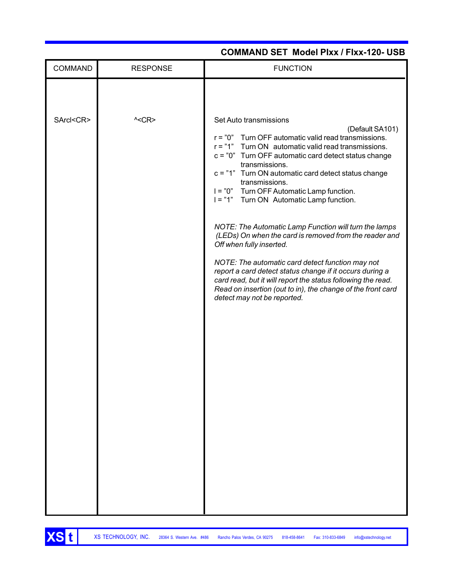| <b>COMMAND</b>  | <b>RESPONSE</b> | <b>FUNCTION</b>                                                                                                                                                                                                                                                                                                                                                                                                                                                                                                                                                                                                                                                                                                                                                                                                                   |
|-----------------|-----------------|-----------------------------------------------------------------------------------------------------------------------------------------------------------------------------------------------------------------------------------------------------------------------------------------------------------------------------------------------------------------------------------------------------------------------------------------------------------------------------------------------------------------------------------------------------------------------------------------------------------------------------------------------------------------------------------------------------------------------------------------------------------------------------------------------------------------------------------|
| SArcl <cr></cr> | $\textdegree$   | Set Auto transmissions<br>(Default SA101)<br>r = "0" Turn OFF automatic valid read transmissions.<br>r = "1" Turn ON automatic valid read transmissions.<br>c = "0" Turn OFF automatic card detect status change<br>transmissions.<br>c = "1" Turn ON automatic card detect status change<br>transmissions.<br>I = "0" Turn OFF Automatic Lamp function.<br>I = "1" Turn ON Automatic Lamp function.<br>NOTE: The Automatic Lamp Function will turn the lamps<br>(LEDs) On when the card is removed from the reader and<br>Off when fully inserted.<br>NOTE: The automatic card detect function may not<br>report a card detect status change if it occurs during a<br>card read, but it will report the status following the read.<br>Read on insertion (out to in), the change of the front card<br>detect may not be reported. |
|                 |                 |                                                                                                                                                                                                                                                                                                                                                                                                                                                                                                                                                                                                                                                                                                                                                                                                                                   |

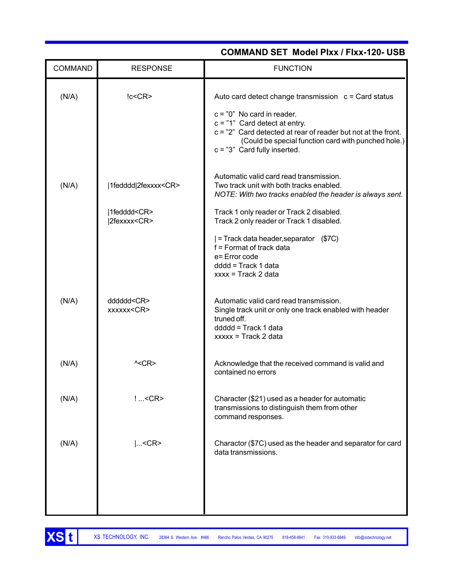| <b>COMMAND</b> | <b>RESPONSE</b>                                 | <b>FUNCTION</b>                                                                                                                                                                                                                                                                       |
|----------------|-------------------------------------------------|---------------------------------------------------------------------------------------------------------------------------------------------------------------------------------------------------------------------------------------------------------------------------------------|
| (N/A)          | lc < CR                                         | Auto card detect change transmission $c = Card$ status<br>$c = "0"$ No card in reader.<br>$c = "1"$ Card detect at entry.<br>$c = "2"$ Card detected at rear of reader but not at the front.<br>(Could be special function card with punched hole.)<br>$c = "3"$ Card fully inserted. |
| (N/A)          | 1fedddd 2fexxxx <cr><br/> 1fedddd<cr></cr></cr> | Automatic valid card read transmission.<br>Two track unit with both tracks enabled.<br>NOTE: With two tracks enabled the header is always sent.<br>Track 1 only reader or Track 2 disabled.                                                                                           |
|                | 2fexxxx <cr></cr>                               | Track 2 only reader or Track 1 disabled.<br>= Track data header, separator (\$7C)<br>f = Format of track data<br>e= Error code<br>dddd = Track 1 data<br>$xxxx = Trace R2 data$                                                                                                       |
| (N/A)          | dddddd <cr><br/>xxxxxx<cr></cr></cr>            | Automatic valid card read transmission.<br>Single track unit or only one track enabled with header<br>truned off.<br>ddddd = Track 1 data<br>$xxxx = \text{Track } 2 \text{ data}$                                                                                                    |
| (N/A)          | $\textdegree$                                   | Acknowledge that the received command is valid and<br>contained no errors                                                                                                                                                                                                             |
| (N/A)          | ! <cr></cr>                                     | Character (\$21) used as a header for automatic<br>transmissions to distinguish them from other<br>command responses.                                                                                                                                                                 |
| (N/A)          | $ <$ CR>                                        | Charactor (\$7C) used as the header and separator for card<br>data transmissions.                                                                                                                                                                                                     |
|                |                                                 |                                                                                                                                                                                                                                                                                       |

XS t